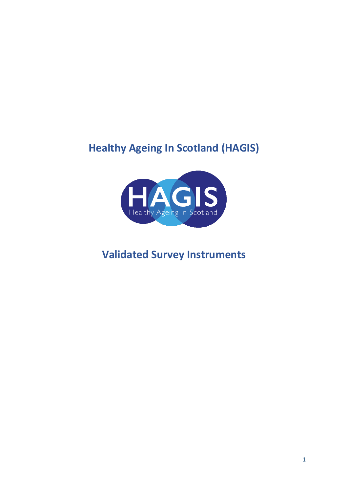# **Healthy Ageing In Scotland (HAGIS)**



## **Validated Survey Instruments**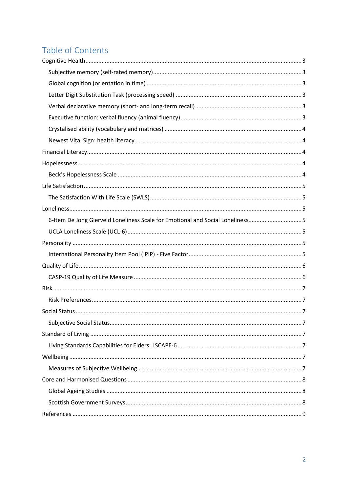## Table of Contents

| 6-Item De Jong Gierveld Loneliness Scale for Emotional and Social Loneliness5 |
|-------------------------------------------------------------------------------|
|                                                                               |
|                                                                               |
|                                                                               |
|                                                                               |
|                                                                               |
|                                                                               |
|                                                                               |
|                                                                               |
|                                                                               |
|                                                                               |
|                                                                               |
|                                                                               |
|                                                                               |
|                                                                               |
|                                                                               |
|                                                                               |
|                                                                               |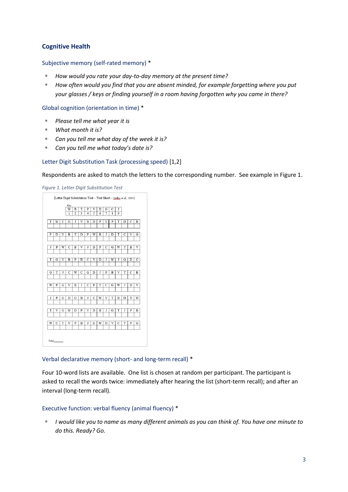## <span id="page-2-0"></span>**Cognitive Health**

#### <span id="page-2-1"></span>Subjective memory (self-rated memory) \*

- *How would you rate your day-to-day memory at the present time?*
- *How often would you find that you are absent minded, for example forgetting where you put your glasses / keys or finding yourself in a room having forgotten why you came in there?*

<span id="page-2-2"></span>Global cognition (orientation in time) \*

- *Please tell me what year it is*
- *What month it is?*
- *Can you tell me what day of the week it is?*
- *Can you tell me what today's date is?*

#### <span id="page-2-3"></span>Letter Digit Substitution Task (processing speed) [1,2]

Respondents are asked to match the letters to the corresponding number. See example in Figure 1.

*Figure 1. Letter Digit Substitution Test*

|   |             |                    | Key |                |                       |                |                    |   |                    |                         |   |   |             |   |
|---|-------------|--------------------|-----|----------------|-----------------------|----------------|--------------------|---|--------------------|-------------------------|---|---|-------------|---|
|   |             |                    | W   | B              | T                     | P              | V                  | D | G                  | Ċ                       | J |   |             |   |
|   |             |                    | 1   | $\overline{2}$ | 3                     | $\overline{4}$ | 5                  | 6 | 7                  | $\overline{\mathbf{8}}$ | 9 |   |             |   |
| T | W           | C                  | G   | J              | V                     | B              | D                  | P | V                  | P                       | T | D | C           | B |
|   |             |                    |     |                |                       |                |                    |   |                    |                         |   |   |             |   |
| P | D           | V                  | B   | T              | D                     | P              | W                  | B | J                  | D                       | T | C | V           | G |
|   |             |                    |     |                |                       |                |                    |   |                    |                         |   |   |             |   |
| J | P           | W                  | Ċ   | B              | $\overline{\rm v}$    | J              | D                  | P | C                  | G                       | W | T | B           | V |
|   |             |                    |     |                |                       |                |                    |   |                    |                         |   |   |             |   |
| T | G           | $\overline{\rm v}$ | B   | P              | $\overline{\text{W}}$ | C              | $\overline{\rm v}$ | D | Ţ                  | W                       | J | G | D           | C |
|   |             |                    |     |                |                       |                |                    |   |                    |                         |   |   |             |   |
| G | T           | J                  | C   | W              | $\mathbf C$           | G              | D                  | J | P                  | B                       | V | T | $\mathbf C$ | В |
|   |             |                    |     |                |                       |                |                    |   |                    |                         |   |   |             |   |
| W | P           | G                  | V   | B              | J                     | C              | P                  | T | C                  | G                       | W | J | D           | V |
|   |             |                    |     |                |                       |                |                    |   |                    |                         |   |   |             |   |
| J | P           | G                  | D   | G              | B                     | J              | C                  | W | $\overline{\rm v}$ | T                       | B | D | T           | W |
|   |             |                    |     |                |                       |                |                    |   |                    |                         |   |   |             |   |
| T | V           | G                  | W   | D              | P                     | V              | D                  | B | J                  | G                       | T | J | P           | B |
|   |             |                    |     |                |                       |                |                    |   |                    |                         |   |   |             |   |
| W | $\mathbf C$ | T                  | V   | P              | B                     | J              | G                  | W | D                  | V                       | C | T | P           | G |
|   |             |                    |     |                |                       |                |                    |   |                    |                         |   |   |             |   |
|   |             |                    |     |                |                       |                |                    |   |                    |                         |   |   |             |   |

#### <span id="page-2-4"></span>Verbal declarative memory (short- and long-term recall) \*

Four 10-word lists are available. One list is chosen at random per participant. The participant is asked to recall the words twice: immediately after hearing the list (short-term recall); and after an interval (long-term recall).

#### <span id="page-2-5"></span>Executive function: verbal fluency (animal fluency) \*

 *I would like you to name as many different animals as you can think of. You have one minute to do this. Ready? Go.*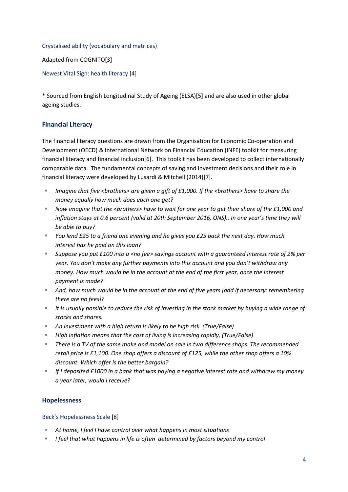#### <span id="page-3-0"></span>Crystalised ability (vocabulary and matrices)

Adapted from COGNITO[3]

<span id="page-3-1"></span>Newest Vital Sign: health literacy [4]

\* Sourced from English Longitudinal Study of Ageing (ELSA)[5] and are also used in other global ageing studies.

## <span id="page-3-2"></span>**Financial Literacy**

The financial literacy questions are drawn from the Organisation for Economic Co-operation and Development (OECD) & International Network on Financial Education (INFE) toolkit for measuring financial literacy and financial inclusion[6]. This toolkit has been developed to collect internationally comparable data. The fundamental concepts of saving and investment decisions and their role in financial literacy were developed by Lusardi & Mitchell (2014)[7].

- *Imagine that five <brothers> are given a gift of £1,000. If the <brothers> have to share the money equally how much does each one get?*
- Now imagine that the <brothers> have to wait for one year to get their share of the £1,000 and *inflation stays at 0.6 percent (valid at 20th September 2016, ONS).. In one year's time they will be able to buy?*
- *You lend £25 to a friend one evening and he gives you £25 back the next day. How much interest has he paid on this loan?*
- *Suppose you put £100 into a <no fee> savings account with a guaranteed interest rate of 2% per year. You don't make any further payments into this account and you don't withdraw any money. How much would be in the account at the end of the first year, once the interest payment is made?*
- *And, how much would be in the account at the end of five years [add if necessary: remembering there are no fees]?*
- *It is usually possible to reduce the risk of investing in the stock market by buying a wide range of stocks and shares.*
- *An investment with a high return is likely to be high risk. (True/False)*
- *High inflation means that the cost of living is increasing rapidly, (True/False)*
- *There is a TV of the same make and model on sale in two difference shops. The recommended retail price is £1,100. One shop offers a discount of £125, while the other shop offers a 10% discount. Which offer is the better bargain?*
- *If I deposited £1000 in a bank that was paying a negative interest rate and withdrew my money a year later, would I receive?*

## <span id="page-3-3"></span>**Hopelessness**

<span id="page-3-4"></span>Beck's Hopelessness Scale [8]

- *At home, I feel I have control over what happens in most situations*
- *I feel that what happens in life is often determined by factors beyond my control*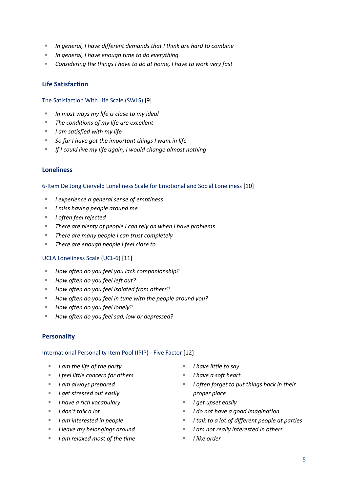- *In general, I have different demands that I think are hard to combine*
- *In general, I have enough time to do everything*
- *Considering the things I have to do at home, I have to work very fast*

## <span id="page-4-0"></span>**Life Satisfaction**

#### <span id="page-4-1"></span>The Satisfaction With Life Scale (SWLS) [9]

- *In most ways my life is close to my ideal*
- *The conditions of my life are excellent*
- *I am satisfied with my life*
- *So far I have got the important things I want in life*
- *If I could live my life again, I would change almost nothing*

#### <span id="page-4-2"></span>**Loneliness**

<span id="page-4-3"></span>6-Item De Jong Gierveld Loneliness Scale for Emotional and Social Loneliness [10]

- *I experience a general sense of emptiness*
- *I miss having people around me*
- *I often feel rejected*
- *There are plenty of people I can rely on when I have problems*
- *There are many people I can trust completely*
- *There are enough people I feel close to*

#### <span id="page-4-4"></span>UCLA Loneliness Scale (UCL-6) [11]

- *How often do you feel you lack companionship?*
- *How often do you feel left out?*
- *How often do you feel isolated from others?*
- *How often do you feel in tune with the people around you?*
- *How often do you feel lonely?*
- *How often do you feel sad, low or depressed?*

#### <span id="page-4-5"></span>**Personality**

#### <span id="page-4-6"></span>International Personality Item Pool (IPIP) - Five Factor [12]

- *I am the life of the party*
- *I feel little concern for others*
- *I am always prepared*
- *I get stressed out easily*
- *I have a rich vocabulary*
- *I don't talk a lot*
- *I am interested in people*
- *I leave my belongings around*
- *I am relaxed most of the time*
- *I have little to say*
- *I have a soft heart*
- *I often forget to put things back in their proper place*
- *I get upset easily*
- *I do not have a good imagination*
- *I talk to a lot of different people at parties*
- *I am not really interested in others*
- *I like order*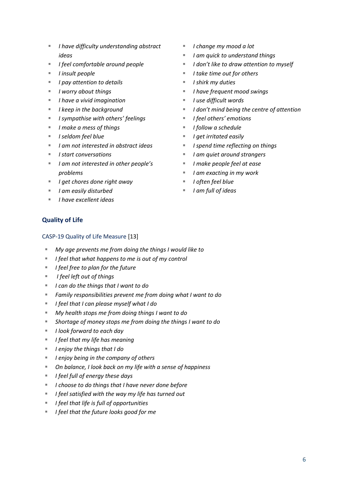- *I have difficulty understanding abstract ideas*
- *I feel comfortable around people*
- *I insult people*
- *I pay attention to details*
- *I worry about things*
- *I have a vivid imagination*
- *I keep in the background*
- *I sympathise with others' feelings*
- *I make a mess of things*
- *I seldom feel blue*
- *I am not interested in abstract ideas*
- *I start conversations*
- *I am not interested in other people's problems*
- *I get chores done right away*
- *I am easily disturbed*
- *I have excellent ideas*
- *I change my mood a lot*
- *I am quick to understand things*
- *I don't like to draw attention to myself*
- *I take time out for others*
- *I shirk my duties*
- *I have frequent mood swings*
- *I use difficult words*
- *I don't mind being the centre of attention*
- *I feel others' emotions*
- *I follow a schedule*
- *I get irritated easily*
- *I spend time reflecting on things*
- *I am quiet around strangers*
- *I make people feel at ease*
- *I am exacting in my work*
- *I often feel blue*
- *I am full of ideas*

### <span id="page-5-0"></span>**Quality of Life**

#### <span id="page-5-1"></span>CASP-19 Quality of Life Measure [13]

- *My age prevents me from doing the things I would like to*
- *I feel that what happens to me is out of my control*
- *I feel free to plan for the future*
- *I feel left out of things*
- *I can do the things that I want to do*
- *Family responsibilities prevent me from doing what I want to do*
- *I feel that I can please myself what I do*
- *My health stops me from doing things I want to do*
- *Shortage of money stops me from doing the things I want to do*
- *I look forward to each day*
- *I feel that my life has meaning*
- *I enjoy the things that I do*
- *I enjoy being in the company of others*
- *On balance, I look back on my life with a sense of happiness*
- *I feel full of energy these days*
- *I choose to do things that I have never done before*
- *I feel satisfied with the way my life has turned out*
- *I feel that life is full of opportunities*
- <span id="page-5-2"></span>*I feel that the future looks good for me*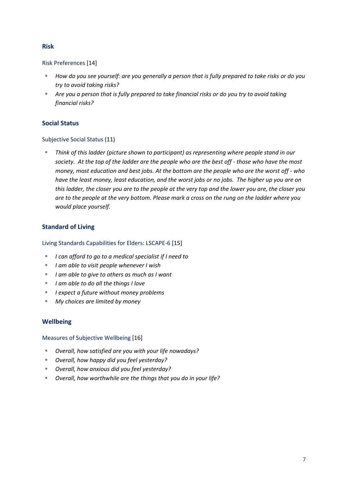## **Risk**

<span id="page-6-0"></span>Risk Preferences [14]

- *How do you see yourself: are you generally a person that is fully prepared to take risks or do you try to avoid taking risks?*
- *Are you a person that is fully prepared to take financial risks or do you try to avoid taking financial risks?*

## <span id="page-6-1"></span>**Social Status**

## <span id="page-6-2"></span>Subjective Social Status (11)

 *Think of this ladder (picture shown to participant) as representing where people stand in our society. At the top of the ladder are the people who are the best off - those who have the most money, most education and best jobs. At the bottom are the people who are the worst off - who have the least money, least education, and the worst jobs or no jobs. The higher up you are on this ladder, the closer you are to the people at the very top and the lower you are, the closer you are to the people at the very bottom. Please mark a cross on the rung on the ladder where you would place yourself.*

## <span id="page-6-3"></span>**Standard of Living**

## <span id="page-6-4"></span>Living Standards Capabilities for Elders: LSCAPE-6 [15]

- *I can afford to go to a medical specialist if I need to*
- *I am able to visit people whenever I wish*
- *I am able to give to others as much as I want*
- *I am able to do all the things I love*
- *I expect a future without money problems*
- *My choices are limited by money*

## <span id="page-6-5"></span>**Wellbeing**

<span id="page-6-6"></span>Measures of Subjective Wellbeing [16]

- *Overall, how satisfied are you with your life nowadays?*
- *Overall, how happy did you feel yesterday?*
- *Overall, how anxious did you feel yesterday?*
- *Overall, how worthwhile are the things that you do in your life?*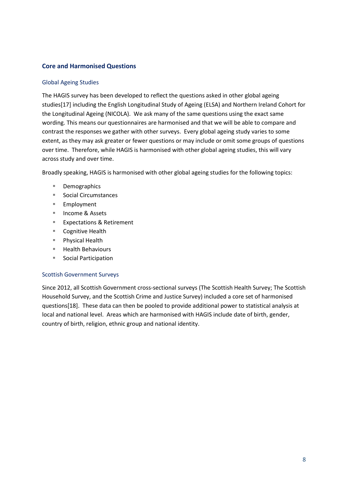## <span id="page-7-0"></span>**Core and Harmonised Questions**

#### <span id="page-7-1"></span>Global Ageing Studies

The HAGIS survey has been developed to reflect the questions asked in other global ageing studies[17] including the English Longitudinal Study of Ageing (ELSA) and Northern Ireland Cohort for the Longitudinal Ageing (NICOLA). We ask many of the same questions using the exact same wording. This means our questionnaires are harmonised and that we will be able to compare and contrast the responses we gather with other surveys. Every global ageing study varies to some extent, as they may ask greater or fewer questions or may include or omit some groups of questions over time. Therefore, while HAGIS is harmonised with other global ageing studies, this will vary across study and over time.

Broadly speaking, HAGIS is harmonised with other global ageing studies for the following topics:

- Demographics
- Social Circumstances
- Employment
- Income & Assets
- Expectations & Retirement
- Cognitive Health
- Physical Health
- **Health Behaviours**
- Social Participation

#### <span id="page-7-2"></span>Scottish Government Surveys

Since 2012, all Scottish Government cross-sectional surveys (The Scottish Health Survey; The Scottish Household Survey, and the Scottish Crime and Justice Survey) included a core set of harmonised questions[18]. These data can then be pooled to provide additional power to statistical analysis at local and national level. Areas which are harmonised with HAGIS include date of birth, gender, country of birth, religion, ethnic group and national identity.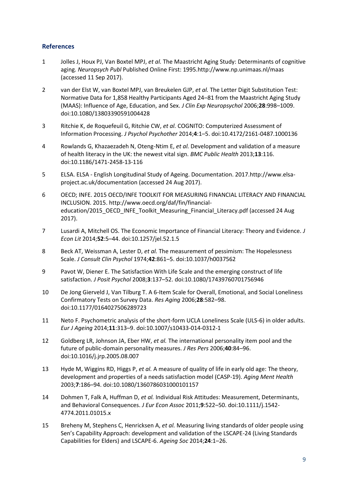## <span id="page-8-0"></span>**References**

- 1 Jolles J, Houx PJ, Van Boxtel MPJ, *et al.* The Maastricht Aging Study: Determinants of cognitive aging. *Neuropsych Publ* Published Online First: 1995.http://www.np.unimaas.nl/maas (accessed 11 Sep 2017).
- 2 van der Elst W, van Boxtel MPJ, van Breukelen GJP, *et al.* The Letter Digit Substitution Test: Normative Data for 1,858 Healthy Participants Aged 24–81 from the Maastricht Aging Study (MAAS): Influence of Age, Education, and Sex. *J Clin Exp Neuropsychol* 2006;**28**:998–1009. doi:10.1080/13803390591004428
- 3 Ritchie K, de Roquefeuil G, Ritchie CW, *et al.* COGNITO: Computerized Assessment of Information Processing. *J Psychol Psychother* 2014;**4**:1–5. doi:10.4172/2161-0487.1000136
- 4 Rowlands G, Khazaezadeh N, Oteng-Ntim E, *et al.* Development and validation of a measure of health literacy in the UK: the newest vital sign. *BMC Public Health* 2013;**13**:116. doi:10.1186/1471-2458-13-116
- 5 ELSA. ELSA English Longitudinal Study of Ageing. Documentation. 2017.http://www.elsaproject.ac.uk/documentation (accessed 24 Aug 2017).
- 6 OECD; INFE. 2015 OECD/INFE TOOLKIT FOR MEASURING FINANCIAL LITERACY AND FINANCIAL INCLUSION. 2015. http://www.oecd.org/daf/fin/financialeducation/2015\_OECD\_INFE\_Toolkit\_Measuring\_Financial\_Literacy.pdf (accessed 24 Aug 2017).
- 7 Lusardi A, Mitchell OS. The Economic Importance of Financial Literacy: Theory and Evidence. *J Econ Lit* 2014;**52**:5–44. doi:10.1257/jel.52.1.5
- 8 Beck AT, Weissman A, Lester D, *et al.* The measurement of pessimism: The Hopelessness Scale. *J Consult Clin Psychol* 1974;**42**:861–5. doi:10.1037/h0037562
- 9 Pavot W, Diener E. The Satisfaction With Life Scale and the emerging construct of life satisfaction. *J Posit Psychol* 2008;**3**:137–52. doi:10.1080/17439760701756946
- 10 De Jong Gierveld J, Van Tilburg T. A 6-Item Scale for Overall, Emotional, and Social Loneliness Confirmatory Tests on Survey Data. *Res Aging* 2006;**28**:582–98. doi:10.1177/0164027506289723
- 11 Neto F. Psychometric analysis of the short-form UCLA Loneliness Scale (ULS-6) in older adults. *Eur J Ageing* 2014;**11**:313–9. doi:10.1007/s10433-014-0312-1
- 12 Goldberg LR, Johnson JA, Eber HW, *et al.* The international personality item pool and the future of public-domain personality measures. *J Res Pers* 2006;**40**:84–96. doi:10.1016/j.jrp.2005.08.007
- 13 Hyde M, Wiggins RD, Higgs P, *et al.* A measure of quality of life in early old age: The theory, development and properties of a needs satisfaction model (CASP-19). *Aging Ment Health* 2003;**7**:186–94. doi:10.1080/1360786031000101157
- 14 Dohmen T, Falk A, Huffman D, *et al.* Individual Risk Attitudes: Measurement, Determinants, and Behavioral Consequences. *J Eur Econ Assoc* 2011;**9**:522–50. doi:10.1111/j.1542- 4774.2011.01015.x
- 15 Breheny M, Stephens C, Henricksen A, *et al.* Measuring living standards of older people using Sen's Capability Approach: development and validation of the LSCAPE-24 (Living Standards Capabilities for Elders) and LSCAPE-6. *Ageing Soc* 2014;**24**:1–26.